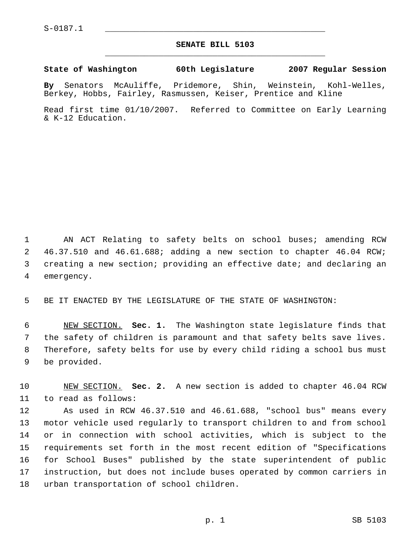## **SENATE BILL 5103** \_\_\_\_\_\_\_\_\_\_\_\_\_\_\_\_\_\_\_\_\_\_\_\_\_\_\_\_\_\_\_\_\_\_\_\_\_\_\_\_\_\_\_\_\_

**State of Washington 60th Legislature 2007 Regular Session**

**By** Senators McAuliffe, Pridemore, Shin, Weinstein, Kohl-Welles, Berkey, Hobbs, Fairley, Rasmussen, Keiser, Prentice and Kline

Read first time 01/10/2007. Referred to Committee on Early Learning & K-12 Education.

 AN ACT Relating to safety belts on school buses; amending RCW 46.37.510 and 46.61.688; adding a new section to chapter 46.04 RCW; creating a new section; providing an effective date; and declaring an emergency.

BE IT ENACTED BY THE LEGISLATURE OF THE STATE OF WASHINGTON:

 NEW SECTION. **Sec. 1.** The Washington state legislature finds that the safety of children is paramount and that safety belts save lives. Therefore, safety belts for use by every child riding a school bus must be provided.

 NEW SECTION. **Sec. 2.** A new section is added to chapter 46.04 RCW to read as follows:

 As used in RCW 46.37.510 and 46.61.688, "school bus" means every motor vehicle used regularly to transport children to and from school or in connection with school activities, which is subject to the requirements set forth in the most recent edition of "Specifications for School Buses" published by the state superintendent of public instruction, but does not include buses operated by common carriers in urban transportation of school children.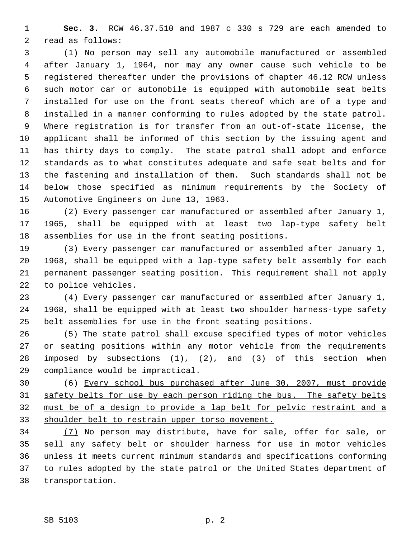**Sec. 3.** RCW 46.37.510 and 1987 c 330 s 729 are each amended to read as follows:

 (1) No person may sell any automobile manufactured or assembled after January 1, 1964, nor may any owner cause such vehicle to be registered thereafter under the provisions of chapter 46.12 RCW unless such motor car or automobile is equipped with automobile seat belts installed for use on the front seats thereof which are of a type and installed in a manner conforming to rules adopted by the state patrol. Where registration is for transfer from an out-of-state license, the applicant shall be informed of this section by the issuing agent and has thirty days to comply. The state patrol shall adopt and enforce standards as to what constitutes adequate and safe seat belts and for the fastening and installation of them. Such standards shall not be below those specified as minimum requirements by the Society of Automotive Engineers on June 13, 1963.

 (2) Every passenger car manufactured or assembled after January 1, 1965, shall be equipped with at least two lap-type safety belt assemblies for use in the front seating positions.

 (3) Every passenger car manufactured or assembled after January 1, 1968, shall be equipped with a lap-type safety belt assembly for each permanent passenger seating position. This requirement shall not apply to police vehicles.

 (4) Every passenger car manufactured or assembled after January 1, 1968, shall be equipped with at least two shoulder harness-type safety belt assemblies for use in the front seating positions.

 (5) The state patrol shall excuse specified types of motor vehicles or seating positions within any motor vehicle from the requirements imposed by subsections (1), (2), and (3) of this section when compliance would be impractical.

 (6) Every school bus purchased after June 30, 2007, must provide 31 safety belts for use by each person riding the bus. The safety belts must be of a design to provide a lap belt for pelvic restraint and a shoulder belt to restrain upper torso movement.

 (7) No person may distribute, have for sale, offer for sale, or sell any safety belt or shoulder harness for use in motor vehicles unless it meets current minimum standards and specifications conforming to rules adopted by the state patrol or the United States department of transportation.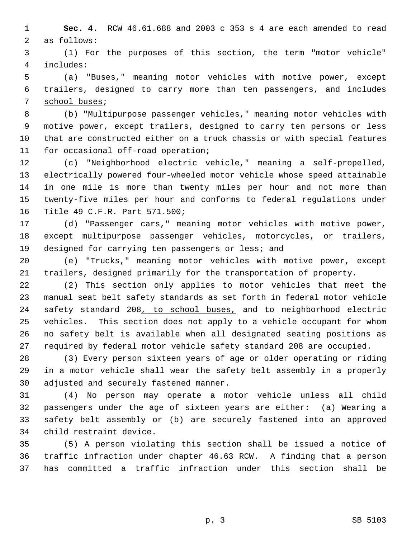**Sec. 4.** RCW 46.61.688 and 2003 c 353 s 4 are each amended to read as follows:

 (1) For the purposes of this section, the term "motor vehicle" includes:

 (a) "Buses," meaning motor vehicles with motive power, except trailers, designed to carry more than ten passengers, and includes 7 school buses;

 (b) "Multipurpose passenger vehicles," meaning motor vehicles with motive power, except trailers, designed to carry ten persons or less that are constructed either on a truck chassis or with special features for occasional off-road operation;

 (c) "Neighborhood electric vehicle," meaning a self-propelled, electrically powered four-wheeled motor vehicle whose speed attainable in one mile is more than twenty miles per hour and not more than twenty-five miles per hour and conforms to federal regulations under Title 49 C.F.R. Part 571.500;

 (d) "Passenger cars," meaning motor vehicles with motive power, except multipurpose passenger vehicles, motorcycles, or trailers, designed for carrying ten passengers or less; and

 (e) "Trucks," meaning motor vehicles with motive power, except trailers, designed primarily for the transportation of property.

 (2) This section only applies to motor vehicles that meet the manual seat belt safety standards as set forth in federal motor vehicle 24 safety standard 208, to school buses, and to neighborhood electric vehicles. This section does not apply to a vehicle occupant for whom no safety belt is available when all designated seating positions as required by federal motor vehicle safety standard 208 are occupied.

 (3) Every person sixteen years of age or older operating or riding in a motor vehicle shall wear the safety belt assembly in a properly adjusted and securely fastened manner.

 (4) No person may operate a motor vehicle unless all child passengers under the age of sixteen years are either: (a) Wearing a safety belt assembly or (b) are securely fastened into an approved child restraint device.

 (5) A person violating this section shall be issued a notice of traffic infraction under chapter 46.63 RCW. A finding that a person has committed a traffic infraction under this section shall be